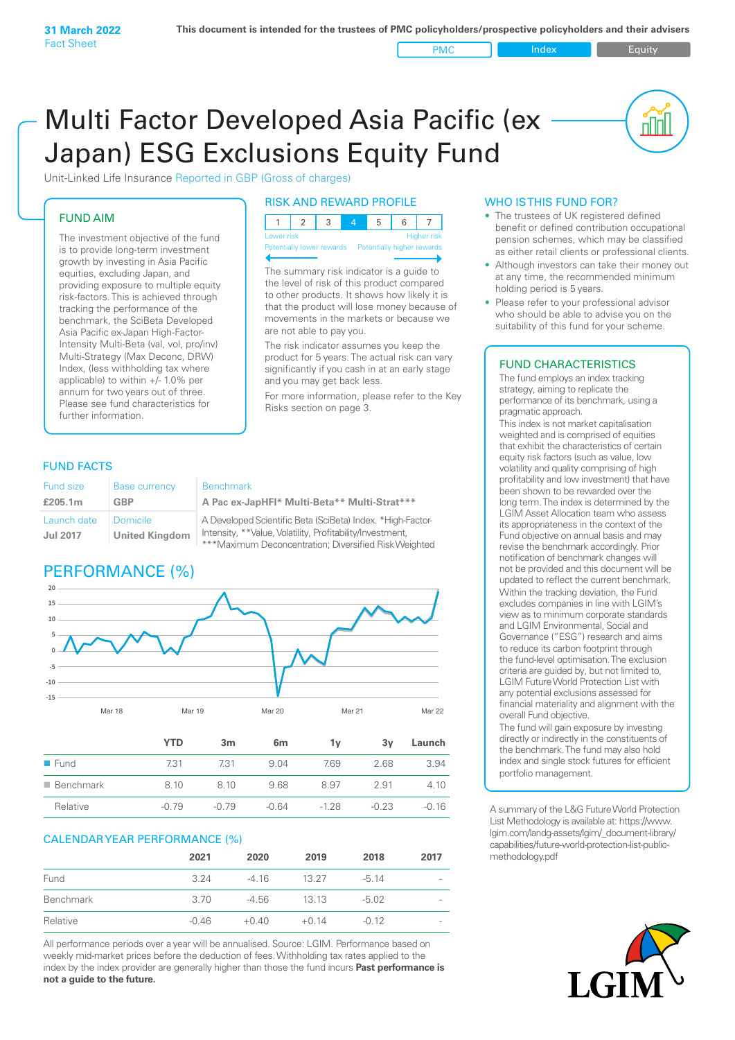PMC Index PMC Equity

<u>nul</u>

# Multi Factor Developed Asia Pacific (ex Japan) ESG Exclusions Equity Fund

Unit-Linked Life Insurance Reported in GBP (Gross of charges)

# FUND AIM

The investment objective of the fund is to provide long-term investment growth by investing in Asia Pacific equities, excluding Japan, and providing exposure to multiple equity risk-factors. This is achieved through tracking the performance of the benchmark, the SciBeta Developed Asia Pacific ex-Japan High-Factor-Intensity Multi-Beta (val, vol, pro/inv) Multi-Strategy (Max Deconc, DRW) Index, (less withholding tax where applicable) to within +/- 1.0% per annum for two years out of three. Please see fund characteristics for further information.

# RISK AND REWARD PROFILE

| Lower risk |  |  | Higher risk |
|------------|--|--|-------------|

Potentially lower rewards Potentially higher rewards

The summary risk indicator is a guide to the level of risk of this product compared to other products. It shows how likely it is that the product will lose money because of movements in the markets or because we are not able to pay you.

The risk indicator assumes you keep the product for 5 years. The actual risk can vary significantly if you cash in at an early stage and you may get back less.

For more information, please refer to the Key Risks section on page 3.

# FUND FACTS

| Fund size                      | <b>Base currency</b>                     | <b>Benchmark</b>                                                                                                                                                                 |
|--------------------------------|------------------------------------------|----------------------------------------------------------------------------------------------------------------------------------------------------------------------------------|
| £205.1m                        | GBP                                      | A Pac ex-JapHFI* Multi-Beta** Multi-Strat***                                                                                                                                     |
| Launch date<br><b>Jul 2017</b> | <b>Domicile</b><br><b>United Kingdom</b> | A Developed Scientific Beta (SciBeta) Index. *High-Factor-<br>Intensity, **Value, Volatility, Profitability/Investment,<br>***Maximum Deconcentration; Diversified Risk Weighted |

# PERFORMANCE (%)



|                          | YTD     | 3 <sub>m</sub> | 6 <sub>m</sub> | 1v     | 3v      | Launch  |
|--------------------------|---------|----------------|----------------|--------|---------|---------|
| $\blacksquare$ Fund      | 731     | 731            | 9.04           | 7.69   | 2.68    | 3.94    |
| $\blacksquare$ Benchmark | 8.10    | 8.10           | 9.68           | 8.97   | 2.91    | 4.10    |
| Relative                 | $-0.79$ | $-0.79$        | $-0.64$        | $-128$ | $-0.23$ | $-0.16$ |

# CALENDAR YEAR PERFORMANCE (%)

|           | 2021    | 2020    | 2019    | 2018    | 2017                     |
|-----------|---------|---------|---------|---------|--------------------------|
| Fund      | 3.24    | -4 16   | 13.27   | $-5.14$ | $\overline{\phantom{a}}$ |
| Benchmark | 3.70    | -4.56   | 13 13   | $-5.02$ | $\overline{\phantom{a}}$ |
| Relative  | $-0.46$ | $+0.40$ | $+0.14$ | $-0.12$ | $\overline{\phantom{a}}$ |

All performance periods over a year will be annualised. Source: LGIM. Performance based on weekly mid-market prices before the deduction of fees. Withholding tax rates applied to the index by the index provider are generally higher than those the fund incurs **Past performance is not a guide to the future.**

### WHO IS THIS FUND FOR?

- The trustees of UK registered defined benefit or defined contribution occupational pension schemes, which may be classified as either retail clients or professional clients.
- Although investors can take their money out at any time, the recommended minimum holding period is 5 years.
- Please refer to your professional advisor who should be able to advise you on the suitability of this fund for your scheme.

# FUND CHARACTERISTICS

The fund employs an index tracking strategy, aiming to replicate the performance of its benchmark, using a pragmatic approach.

This index is not market capitalisation weighted and is comprised of equities that exhibit the characteristics of certain equity risk factors (such as value, low volatility and quality comprising of high profitability and low investment) that have been shown to be rewarded over the long term. The index is determined by the LGIM Asset Allocation team who assess its appropriateness in the context of the Fund objective on annual basis and may revise the benchmark accordingly. Prior notification of benchmark changes will not be provided and this document will be updated to reflect the current benchmark. Within the tracking deviation, the Fund excludes companies in line with LGIM's view as to minimum corporate standards and LGIM Environmental, Social and Governance ("ESG") research and aims to reduce its carbon footprint through the fund-level optimisation. The exclusion criteria are guided by, but not limited to, LGIM Future World Protection List with any potential exclusions assessed for financial materiality and alignment with the overall Fund objective.

The fund will gain exposure by investing directly or indirectly in the constituents of the benchmark. The fund may also hold index and single stock futures for efficient portfolio management.

A summary of the L&G Future World Protection List Methodology is available at: https://www. lgim.com/landg-assets/lgim/\_document-library/ capabilities/future-world-protection-list-publicmethodology.pdf

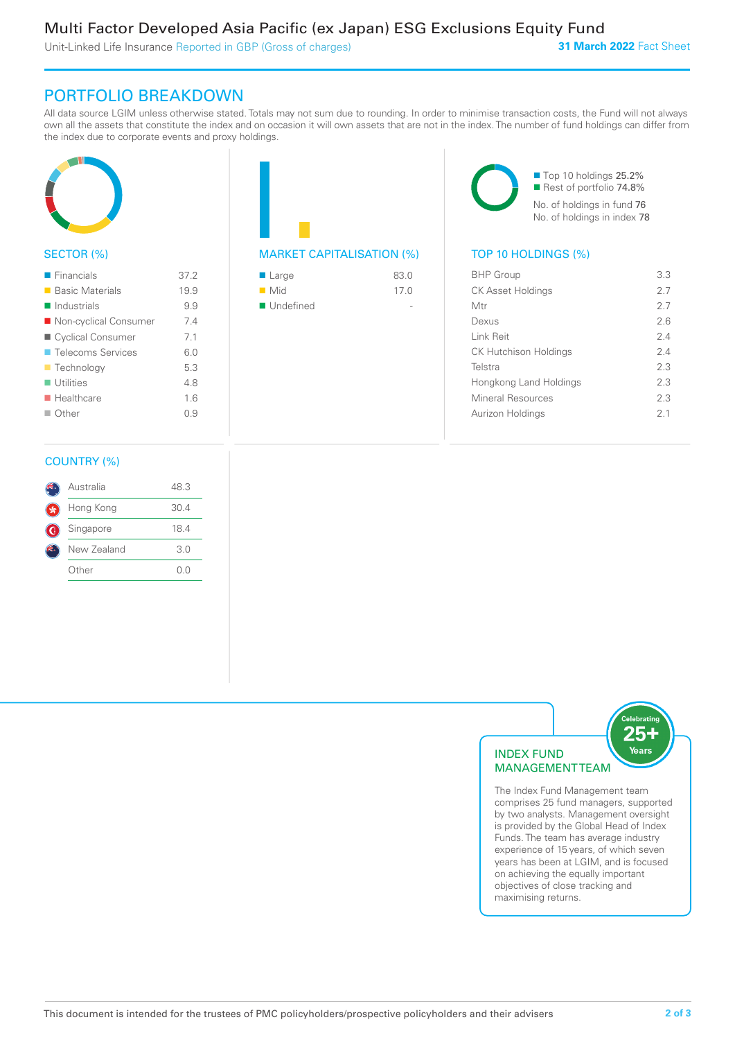Unit-Linked Life Insurance Reported in GBP (Gross of charges)

**31 March 2022** Fact Sheet

# PORTFOLIO BREAKDOWN

All data source LGIM unless otherwise stated. Totals may not sum due to rounding. In order to minimise transaction costs, the Fund will not always own all the assets that constitute the index and on occasion it will own assets that are not in the index. The number of fund holdings can differ from the index due to corporate events and proxy holdings.



# SECTOR (%)

| $\blacksquare$ Financials | 37.2 |
|---------------------------|------|
| ■ Basic Materials         | 19.9 |
| Industrials               | 9.9  |
| ■ Non-cyclical Consumer   | 74   |
| ■ Cyclical Consumer       | 7.1  |
| <b>Telecoms Services</b>  | 60   |
| <b>Technology</b>         | 5.3  |
| $\blacksquare$ Utilities  | 48   |
| $\blacksquare$ Healthcare | 16   |
| $\Box$ Other              | 09   |
|                           |      |

# MARKET CAPITALISATION (%) TOP 10 HOLDINGS (%)

| $\blacksquare$ Large     | 83.0 |
|--------------------------|------|
| $\blacksquare$ Mid       | 17.0 |
| $\blacksquare$ Undefined |      |
|                          |      |

■ Top 10 holdings 25.2% Rest of portfolio 74.8% No. of holdings in fund 76 No. of holdings in index 78

| <b>BHP Group</b>             | 3.3 |
|------------------------------|-----|
| <b>CK Asset Holdings</b>     | 2.7 |
| Mtr                          | 27  |
| Dexus                        | 26  |
| <b>Link Reit</b>             | 2.4 |
| <b>CK Hutchison Holdings</b> | 24  |
| Telstra                      | 2.3 |
| Hongkong Land Holdings       | 2.3 |
| Mineral Resources            | 2.3 |
| Aurizon Holdings             | 21  |
|                              |     |

# COUNTRY (%)

|    | Australia   | 48.3 |  |
|----|-------------|------|--|
|    | Hong Kong   | 30.4 |  |
| G. | Singapore   | 18.4 |  |
|    | New Zealand | 3.0  |  |
|    | Other       | ()() |  |
|    |             |      |  |



comprises 25 fund managers, supported by two analysts. Management oversight is provided by the Global Head of Index Funds. The team has average industry experience of 15 years, of which seven years has been at LGIM, and is focused on achieving the equally important objectives of close tracking and maximising returns.